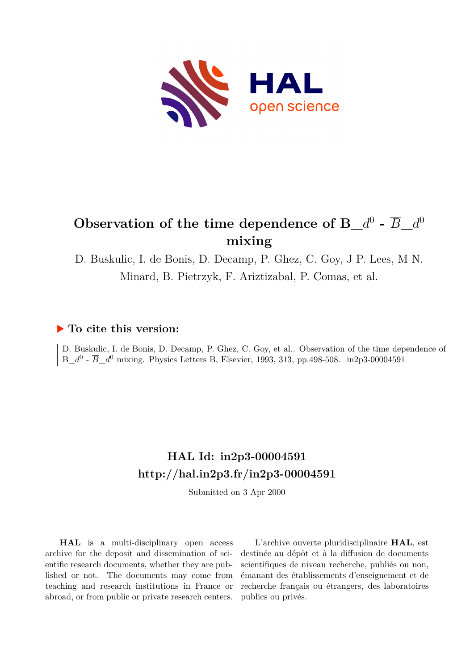

# Observation of the time dependence of B\_ $d^0$  -  $\overline{B}$ \_ $d^0$ **mixing**

D. Buskulic, I. de Bonis, D. Decamp, P. Ghez, C. Goy, J P. Lees, M N. Minard, B. Pietrzyk, F. Ariztizabal, P. Comas, et al.

## **To cite this version:**

D. Buskulic, I. de Bonis, D. Decamp, P. Ghez, C. Goy, et al.. Observation of the time dependence of  $B_d^0$  -  $\overline{B}_d^0$  mixing. Physics Letters B, Elsevier, 1993, 313, pp.498-508. in2p3-00004591

# **HAL Id: in2p3-00004591 <http://hal.in2p3.fr/in2p3-00004591>**

Submitted on 3 Apr 2000

**HAL** is a multi-disciplinary open access archive for the deposit and dissemination of scientific research documents, whether they are published or not. The documents may come from teaching and research institutions in France or abroad, or from public or private research centers.

L'archive ouverte pluridisciplinaire **HAL**, est destinée au dépôt et à la diffusion de documents scientifiques de niveau recherche, publiés ou non, émanant des établissements d'enseignement et de recherche français ou étrangers, des laboratoires publics ou privés.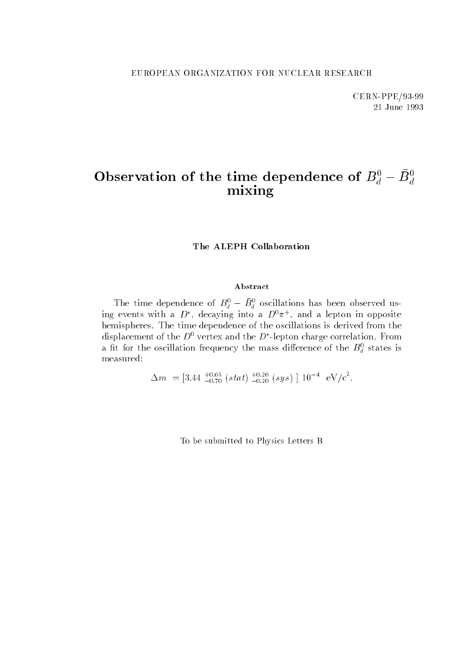CERN-PPE/93-99 21 June 1993

# Observation of the time dependence of  $B_d^0-B_d^0$ mixing

The ALEPH Collaboration

#### Abstract

The time dependence of  $D_{\tilde{d}} - D_{\tilde{d}}$  oscillations has been observed using events with a  $D^+$ , decaying into a  $D^*\pi^+$ , and a lepton in opposite hemispheres. The time dependence of the oscillations is derived from the displacement of the  $D^+$  vertex and the  $D^-$ -lepton charge correlation. From a in for the oscillation frequency the mass difference of the  $D_d$  states is measured:

 $\Delta m = [3.44 \, \frac{1}{-0.70} \, (stat) \, \frac{1}{-0.20} \, (sys) \, ] \, 10^{-4} \, eV/c^2$ .

To be submitted to Physics Letters B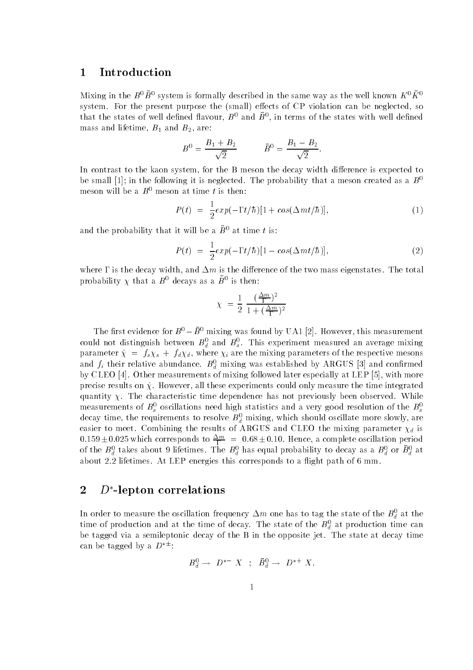#### 1 Introduction

Mixing in the  $B^+B^+$  system is formally described in the same way as the well known  $K^+K^$ system. For the present purpose the (small) effects of CP violation can be neglected, so that the states of well defined havour,  $B^+$  and  $B^+,$  in terms of the states with well defined mass and lifetime,  $B_1$  and  $B_2$ , are:

$$
B^0 = \frac{B_1 + B_2}{\sqrt{2}} \qquad \qquad \bar{B}^0 = \frac{B_1 - B_2}{\sqrt{2}}.
$$

In contrast to the kaon system, for the B meson the decay width difference is expected to be small [1]; in the following it is neglected. The probability that a meson created as a  $B^0$ meson will be a  $B^0$  meson at time t is then:

$$
P(t) = \frac{1}{2} exp(-\Gamma t/\hbar)[1 + cos(\Delta mt/\hbar)], \qquad (1)
$$

and the probability that it will be a  $\bar{B}^0$  at time t is:

$$
P(t) = \frac{1}{2} exp(-\Gamma t/\hbar)[1 - cos(\Delta mt/\hbar)], \qquad (2)
$$

where  $\Gamma$  is the decay width, and  $\Delta m$  is the difference of the two mass eigenstates. The total probability  $\chi$  that a  $B^-$  decays as a  $B^-$  is then:

$$
\chi = \frac{1}{2} \frac{(\frac{\Delta m}{\Gamma})^2}{1 + (\frac{\Delta m}{\Gamma})^2}
$$

The first evidence for  $B^0 - \bar{B}^0$  mixing was found by UA1 [2]. However, this measurement could not distinguish between  $B_{\tilde{d}}$  and  $B_{\tilde{s}}$ . This experiment measured an average mixing parameter  $\Lambda$  = following the mixing  $\Lambda$  , where  $\Lambda$  is the mixing parameters of the respective mesons of the respective mesons of the respective mesons of the respective mesons of the respective mesons of the respecti and  $f_i$  their relative abundance.  $B_d$  mixing was established by ARGUS [3] and confirmed by CLEO [4]. Other measurements of mixing followed later especially at LEP [5], with more precise results on  $\hat{\chi}$ . However, all these experiments could only measure the time integrated quantity  $\chi$ . The characteristic time dependence has not previously been observed. While measurements of  $B_s^s$  oscillations need high statistics and a very good resolution of the  $B_s^s$ decay time, the requirements to resolve  $B_{\tilde{d}}$  mixing, which should oscillate more slowly, are  $\sim$ easier to meet. Combining the results of ARGUS and CLEO the mixing parameter  $\chi_d$  is  $0.159 \pm 0.025$  which corresponds to  $\frac{2m}{10}$  =  $0.68 \pm 0.10$ . Hence, a complete oscillation period of the  $B_d^+$  takes about 9 lifetimes. The  $B_d^+$  has equal probability to decay as a  $B_d^+$  or  $B_d^+$  at about 2.2 lifetimes. At LEP energies this corresponds to a flight path of 6 mm.

### 2  $D^*$ -lepton correlations

In order to measure the oscillation frequency  $\Delta m$  one has to tag the state of the  $B_d^+$  at the time of production and at the time of decay. The state of the  $D_d^{\alpha}$  at production time can be tagged via a semileptonic decay of the B in the opposite jet. The state at decay time can be tagged by a  $D^{*\pm}$ :

$$
B^0_d\to D^{*-}\; X\;\;;\;\;\bar B^0_d\to\; D^{*+}\; X.
$$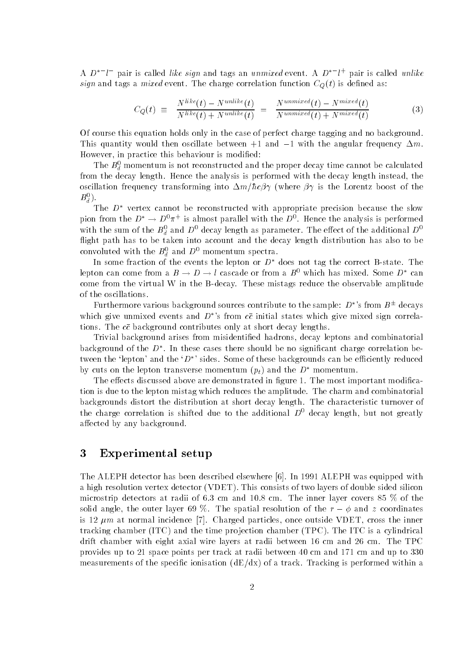A  $D$  is pair is called *tike sign* and tags an unmixed event. A  $D$  if pair is called unlike sign and tags a mixed event. The charge correlation function  $C_Q(t)$  is defined as:

$$
C_Q(t) \equiv \frac{N^{like}(t) - N^{unlike}(t)}{N^{like}(t) + N^{unlike}(t)} = \frac{N^{unmixed}(t) - N^{mixed}(t)}{N^{unmixed}(t) + N^{mixed}(t)} \tag{3}
$$

Of course this equation holds only in the case of perfect charge tagging and no background. This quantity would then oscillate between  $+1$  and  $-1$  with the angular frequency  $\Delta m$ . However, in practice this behaviour is modied:

The  $D_d$  momentum is not reconstructed and the proper decay time cannot be calculated  $\tilde{ }$ from the decay length. Hence the analysis is performed with the decay length instead, the oscillation frequency transforming into  $\Delta m/\hbar c\beta\gamma$  (where  $\beta\gamma$  is the Lorentz boost of the  $\bm{D}_d$  ).

The  $D^*$  vertex cannot be reconstructed with appropriate precision because the slow pion from the  $D \to D^*\pi^+$  is almost parallel with the  $D^*$ . Hence the analysis is performed with the sum of the  $B_d^+$  and  $D^+$  decay length as parameter. The effect of the additional  $D^+$ flight path has to be taken into account and the decay length distribution has also to be convoluted with the  $B_d^+$  and  $D^+$  momentum spectra.

In some fraction of the events the lepton or  $D^*$  does not tag the correct B-state. The lepton can come from a  $B\to D\to l$  cascade or from a  $B^0$  which has mixed. Some  $D^*$  can come from the virtual W in the B-decay. These mistags reduce the observable amplitude of the oscillations.

Furthermore various background sources contribute to the sample:  $D^{*}$ 's from  $B^{\pm}$  decays which give unmixed events and  $D^*$ 's from  $c\bar{c}$  initial states which give mixed sign correlations. The  $c\bar{c}$  background contributes only at short decay lengths.

Trivial background arises from misidentied hadrons, decay leptons and combinatorial background of the  $D$  . In these cases there should be no significant charge correlation between the 'lepton' and the ' $D^*$ ' sides. Some of these backgrounds can be efficiently reduced by cuts on the lepton transverse momentum  $(p_t)$  and the  $D^*$  momentum.

The effects discussed above are demonstrated in figure 1. The most important modification is due to the lepton mistag which reduces the amplitude. The charm and combinatorial backgrounds distort the distribution at short decay length. The characteristic turnover of the charge correlation is shifted due to the additional  $D^0$  decay length, but not greatly affected by any background.

#### 3 Experimental setup

 $\tilde{ }$ 

The ALEPH detector has been described elsewhere [6]. In 1991 ALEPH was equipped with a high resolution vertex detector (VDET). This consists of two layers of double sided silicon microstrip detectors at radii of 6.3 cm and 10.8 cm. The inner layer covers 85 % of the solid angle, the outer layer 69 %. The spatial resolution of the  $r - \phi$  and z coordinates is 12  $\mu$ m at normal incidence [7]. Charged particles, once outside VDET, cross the inner tracking chamber (ITC) and the time pro jection chamber (TPC). The ITC is a cylindrical drift chamber with eight axial wire layers at radii between 16 cm and 26 cm. The TPC provides up to 21 space points per track at radii between 40 cm and 171 cm and up to 330 measurements of the specific ionisation  $(dE/dx)$  of a track. Tracking is performed within a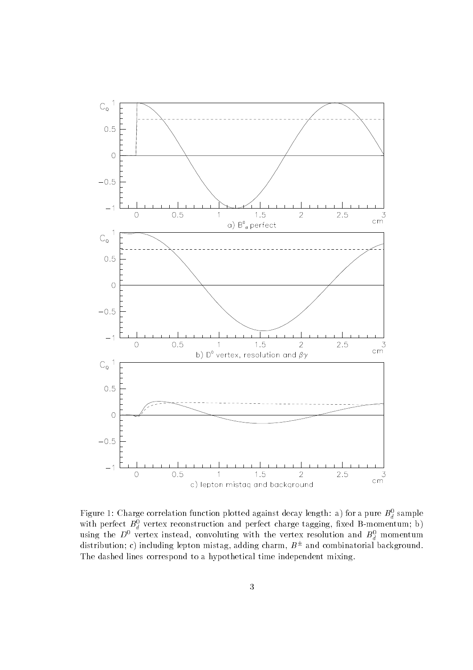

Figure 1: Charge correlation function plotted against decay length: a) for a pure  $B_d^+$  sample with perfect  $D_d$  vertex reconstruction and perfect charge tagging, fixed B-momentum; b) using the  $D^*$  vertex instead, convoluting with the vertex resolution and  $B_d^+$  momentum distribution; c) including lepton mistag, adding charm,  $B^{\pm}$  and combinatorial background. The dashed lines correspond to a hypothetical time independent mixing.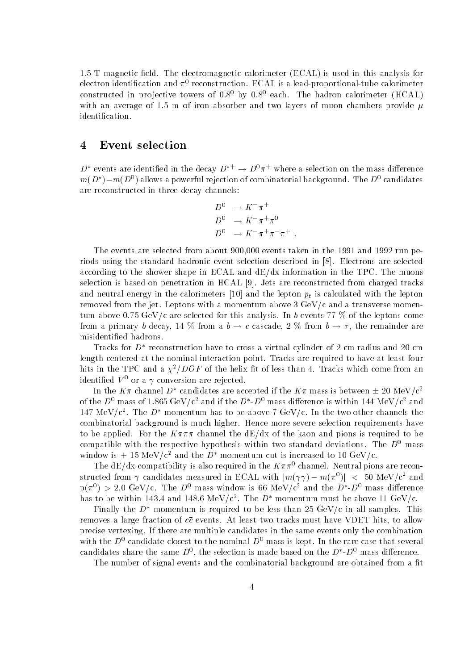1.5 T magnetic field. The electromagnetic calorimeter (ECAL) is used in this analysis for electron identification and  $\pi^+$  reconstruction. ECAL is a lead-proportional-tube calorimeter constructed in projective towers of  $0.8^0$  by  $0.8^0$  each. The hadron calorimeter (HCAL) with an average of 1.5 m of iron absorber and two layers of muon chambers provide  $\mu$ identication.

#### 4 Event selection

 $D^*$  events are identified in the decay  $D^{*+} \to D^0 \pi^+$  where a selection on the mass difference  $m(D_-) - m(D^+)$  allows a powerful rejection of combinatorial background. The  $D^+$  candidates are reconstructed in three decay channels:

$$
D^0 \rightarrow K^- \pi^+
$$
  
\n
$$
D^0 \rightarrow K^- \pi^+ \pi^0
$$
  
\n
$$
D^0 \rightarrow K^- \pi^+ \pi^- \pi^+ .
$$

The events are selected from about 900,000 events taken in the 1991 and 1992 run periods using the standard hadronic event selection described in [8]. Electrons are selected according to the shower shape in ECAL and  $dE/dx$  information in the TPC. The muons selection is based on penetration in HCAL [9]. Jets are reconstructed from charged tracks and neutral energy in the calorimeters [10] and the lepton pt is calculated with the lepton removed from the jet. Leptons with a momentum above 3 GeV/c and a transverse momentum above 0.75 GeV/c are selected for this analysis. In b events 77 % of the leptons come from a primary b decay, 14 % from a  $b \to c$  cascade, 2 % from  $b \to \tau,$  the remainder are misidentied hadrons.

Tracks for D reconstruction have to cross a virtual cylinder of 2 cm radius and 20 cm length centered at the nominal interaction point. Tracks are required to have at least four hits in the TPC and a  $\chi^2/DOF$  of the helix fit of less than 4. Tracks which come from an identified  $V^0$  or a  $\gamma$  conversion are rejected.

In the  $K\pi$  channel  $D^*$  candidates are accepted if the  $K\pi$  mass is between  $\pm$  20 MeV/c<sup>2</sup> of the  $D^+$  mass of 1.865 GeV/c<sup>2</sup> and if the  $D$  - $D^+$  mass difference is within 144 MeV/c<sup>2</sup> and 147 MeV/c<sup>-</sup>. The D momentum has to be above 7 GeV/c. In the two other channels the combinatorial background is much higher. Hence more severe selection requirements have to be applied. For the  $K\pi\pi\pi$  channel the dE/dx of the kaon and pions is required to be compatible with the respective hypothesis within two standard deviations. The  $D^0$  mass window is  $\pm$  15 MeV/c<sup>2</sup> and the D<sup>\*</sup> momentum cut is increased to 10 GeV/c.

The dE/dx compatibility is also required in the  $K\pi\pi^{0}$  channel. Neutral pions are reconstructed from  $\gamma$  candidates measured in ECAL with  $|m(\gamma\gamma)-m(\pi^*)|~<~$  50 MeV/c<sup>-</sup> and  $p(\pi^+) > 2.0$  GeV/c. The  $D^+$  mass window is 66 MeV/c<sup>-</sup> and the  $D$  -D<sup>-</sup> mass difference has to be within 145.4 and 148.6 MeV/c . The  $D$  -momentum must be above 11 GeV/c.  $\,$ 

Finally the  $D^*$  momentum is required to be less than 25 GeV/c in all samples. This removes a large fraction of  $c\bar{c}$  events. At least two tracks must have VDET hits, to allow precise vertexing. If there are multiple candidates in the same events only the combination with the  $D^0$  candidate closest to the nominal  $D^0$  mass is kept. In the rare case that several candidates share the same  $D^+$ , the selection is made based on the  $D^+D^+$  mass difference.

The number of signal events and the combinatorial background are obtained from a fit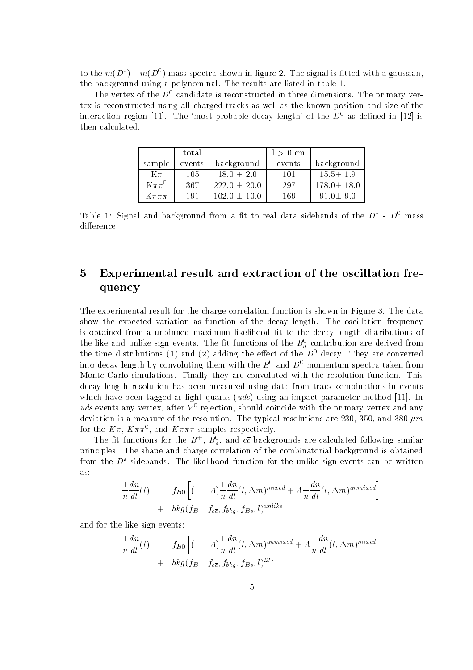to the  $m(D^-) - m(D^+)$  mass spectra shown in ligure 2. The signal is fitted with a gaussian, the background using a polynominal. The results are listed in table 1.

The vertex of the  $D^0$  candidate is reconstructed in three dimensions. The primary vertex is reconstructed using all charged tracks as well as the known position and size of the interaction region [11]. The 'most probable decay length' of the  $D^0$  as defined in [12] is then calculated.

|              | total  |                  | $1 > 0$ cm |                  |
|--------------|--------|------------------|------------|------------------|
| sample       | events | background       | events     | background       |
| $K\pi$       | 105    | $18.0 + 2.0$     | 101        | $15.5 + 1.9$     |
| $K\pi\pi^0$  | 367    | $222.0 \pm 20.0$ | 297        | $178.0 \pm 18.0$ |
| $K\pi\pi\pi$ | 191    | $102.0 \pm 10.0$ | 169        | $91.0 + 9.0$     |

Table 1: Signal and background from a fit to real data sidebands of the  $D \rightarrow D^+$  mass difference.

# 5 Experimental result and extraction of the oscillation frequency

The experimental result for the charge correlation function is shown in Figure 3. The data show the expected variation as function of the decay length. The oscillation frequency is obtained from a unbinned maximum likelihood fit to the decay length distributions of the like and unlike sign events. The itt functions of the  $B_d^+$  contribution are derived from the time distributions (1) and (2) adding the enect of the  $D^+$  decay. They are converted into decay length by convoluting them with the  $B^0$  and  $D^0$  momentum spectra taken from Monte Carlo simulations. Finally they are convoluted with the resolution function. This decay length resolution has been measured using data from track combinations in events which have been tagged as light quarks (*uds*) using an impact parameter method [11]. In  $u$ as events any vertex, after  $V$  - rejection, should coincide with the primary vertex and any deviation is a measure of the resolution. The typical resolutions are 230, 350, and 380  $\mu$ m for the  $\Lambda \pi$ ,  $\Lambda \pi \pi$ , and  $\Lambda \pi \pi \pi$  samples respectively.

The intrinuitions for the  $B^{\pm}$ ,  $B_s$ , and cc backgrounds are calculated following similar principles. The shape and charge correlation of the combinatorial background is obtained from the  $D_\parallel$  sidebands. The likelihood function for the unlike sign events can be written  $\parallel$ as:

$$
\frac{1}{n}\frac{dn}{dl}(l) = f_{B0}\left[ (1-A)\frac{1}{n}\frac{dn}{dl}(l,\Delta m)^{mixed} + A\frac{1}{n}\frac{dn}{dl}(l,\Delta m)^{unmixed} \right] \n+ bkg(f_{B\pm},f_{c\overline{c}},f_{bkg},f_{Bs},l)^{unlike}
$$

and for the like sign events:

$$
\frac{1}{n}\frac{dn}{dl}(l) = f_{B0}\left[ (1-A)\frac{1}{n}\frac{dn}{dl}(l,\Delta m)^{unmixed} + A\frac{1}{n}\frac{dn}{dl}(l,\Delta m)^{mixed} \right] \n+ bkg(f_{B\pm},f_{c\overline{c}},f_{bkg},f_{Bs},l)^{like}
$$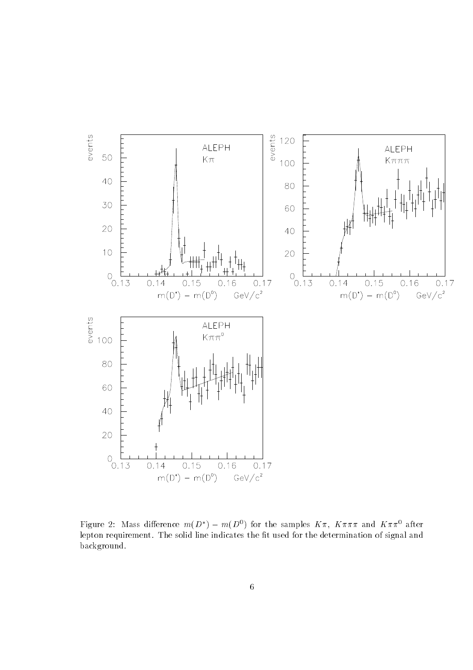

Figure 2: Mass difference  $m(D) = m(D^*)$  for the samples  $K\pi$ ,  $K\pi\pi\pi$  and  $K\pi\pi^*$  after lepton requirement. The solid line indicates the fit used for the determination of signal and background.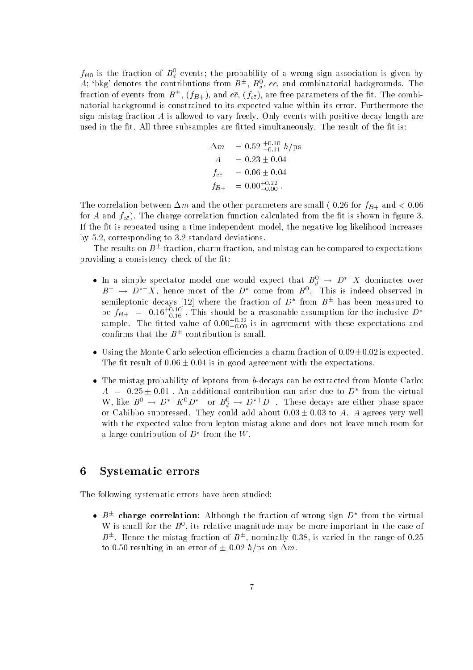$f_{B0}$  is the fraction of  $B_d^-$  events; the probability of a wrong sign association is given by A; 'bkg' denotes the contributions from  $B^{\pm}$ ,  $B_s^0$ ,  $c\bar{c}$ , and combinatorial backgrounds. The sfraction of events from  $B^+,$  (fB+), and  $cc$ , (f $_{c\bar{c}}$ ), are free parameters of the fit. The combinatorial background is constrained to its expected value within its error. Furthermore the sign mistag fraction A is allowed to vary freely. Only events with positive decay length are used in the fit. All three subsamples are fitted simultaneously. The result of the fit is:

$$
\Delta m = 0.52 \frac{+0.10}{-0.11} \hbar / \text{ps}
$$
\n
$$
A = 0.23 \pm 0.04
$$
\n
$$
f_{c\bar{c}} = 0.06 \pm 0.04
$$
\n
$$
f_{B+} = 0.00^{+0.22}_{-0.00}
$$

The correlation between  $\Delta m$  and the other parameters are small ( 0.26 for  $f_{B+}$  and < 0.06 for A and  $f_{c\bar{c}}$ ). The charge correlation function calculated from the fit is shown in figure 3. If the fit is repeated using a time independent model, the negative log likelihood increases by 5.2, corresponding to 3.2 standard deviations.

The results on  $B^+$  fraction, charm fraction, and mistag can be compared to expectations providing a consistency check of the fit:

- $\bullet$  In a simple spectator model one would expect that  $B_d^+ \to D^-$  A dominates over  $B^+ \to D^- \Lambda$ , hence most of the D come from  $B^+$ . This is indeed observed in semileptonic decays  $|12|$  where the fraction of  $D$  -from  $B^+$  has been measured to be  $f_{B+}$  = 0.16 $_{-0.16}^{+0.16}$  . This should be a reasonable assumption for the inclusive  $D^*$ sample. The fitted value of  $0.00^{+0.00}_{-0.00}$  is in agreement with these expectations and confirms that the  $B^+$  contribution is small.
- Using the Monte Carlo selection efficiencies a charm fraction of  $0.09\pm0.02$  is expected. The fit result of  $0.06 \pm 0.04$  is in good agreement with the expectations.
- The mistag probability of leptons from b-decays can be extracted from Monte Carlo:  $A = 0.25 \pm 0.01$  . An additional contribution can arise due to  $D$  -from the virtual W, like  $D^+ \to D^+ K^+ D^-$  or  $D_d^+ \to D^+ D^-$ . These decays are either phase space or Cabibbo suppressed. They could add about  $0.03 \pm 0.03$  to A. A agrees very well with the expected value from lepton mistag alone and does not leave much room for a large contribution of  $D$  from the  $W$ .

### 6 Systematic errors

The following systematic errors have been studied:

 $\bullet$   $D^+$  charge correlation: Although the fraction of wrong sign  $D^-$  from the virtual W is small for the  $B^*$ , its relative magnitude may be more important in the case of  $B^+$ . Hence the mistag fraction of  $B^+$ , nominally 0.38, is varied in the range of 0.25 to 0.50 resulting in an error of  $\pm$  0.02  $\hbar$ /ps on  $\Delta m$ .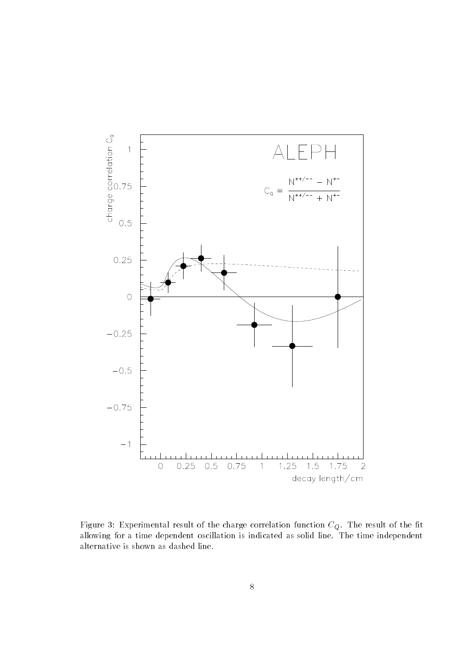

Figure 3: Experimental result of the charge correlation function function function  $\mathbb{F}_{\mathsf{W}}$ allowing for a time dependent oscillation is indicated as solid line. The time indicated as solid line. alternative is shown as dashed line.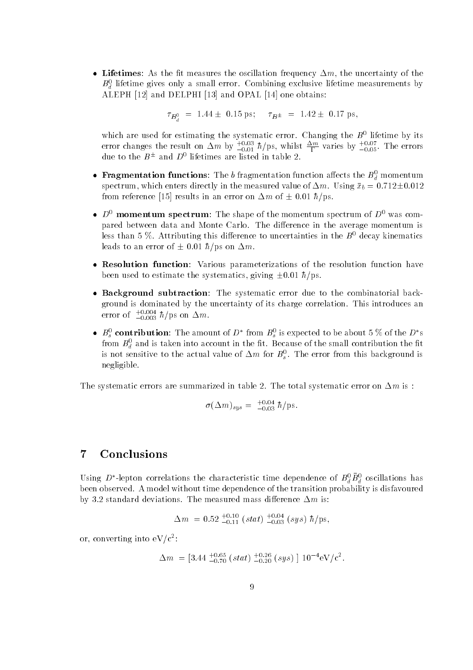• Lifetimes: As the fit measures the oscillation frequency  $\Delta m$ , the uncertainty of the  $\bm{B}_d^{\tau}$  metime gives only a small error. Combining exclusive filetime measurements by  $\tilde{ }$ ALEPH [12] and DELPHI [13] and OPAL [14] one obtains:

 $\tau_{B_s^0}$  = 1.44  $\pm$  0.15 ps;  $\tau_{B^{\pm}}$  = 1.42  $\pm$  0.17 ps,

which are used for estimating the systematic error. Changing the  $B^+$  hietime by its error changes the result on  $\Delta m$  by  $_{-0.01}^{+0.01}$  h/ps, whilst  $_{\rm T}^{\rm C}$  varies by  $_{-0.05}^{+0.05}$ . The errors due to the  $B^{\pm}$  and  $D^{\circ}$  illetimes are usted in table 2.

- $\bullet$  ragmentation functions: The  $\theta$  fragmentation function affects the  $B_d^+$  momentum spectrum, which enters directly in the measured value of  $\alpha$  . Using  $\alpha$  in the measured value of  $\alpha$ : from reference [15] results in an error on  $\Delta m$  of  $\pm$  0.01  $\hbar$ /ps.
- $\bullet$  D<sup>0</sup> momentum spectrum: The shape of the momentum spectrum of D<sup>0</sup> was compared between data and Monte Carlo. The difference in the average momentum is less than 5 %. Attributing this difference to uncertainties in the  $B^0$  decay kinematics leads to an error of  $\pm$  0.01  $\hbar$ /ps on  $\Delta m$ .
- Resolution function: Various parameterizations of the resolution function have been used to estimate the systematics, giving  $\pm 0.01 \hbar/\text{ps}$ .
- Background subtraction: The systematic error due to the combinatorial background is dominated by the uncertainty of its charge correlation. This introduces an error of  $\perp_{0.003}^{\infty} h/\,\mathrm{ps}$  on  $\Delta m$ .
- $B_s^*$  contribution: The amount of D Trom  $B_s^*$  is expected to be about 5 % of the D s from  $B_{\tilde{d}}$  and is taken into account in the fit. Because of the small contribution the fit is not sensitive to the actual value of  $\Delta m$  for  $B_s$  . The error from this background is negligible.

The systematic errors are summarized in table 2. The total systematic error on  $\Delta m$  is :

$$
\sigma(\Delta m)_{sys} = {}^{+0.04}_{-0.03} \hbar / \mathrm{ps}.
$$

## 7 Conclusions

Using D -lepton correlations the characteristic time dependence of  $D_d^T D_d^T$  oscillations has  $\sim$ been observed. A model without time dependence of the transition probability is disfavoured by 3.2 standard deviations. The measured mass difference  $\Delta m$  is:

$$
\Delta m = 0.52^{+0.10}_{-0.11} (stat) ^{+0.04}_{-0.03} (sys) \hbar / \text{ps},
$$

or, converting into eV/c2 :

$$
\Delta m = [3.44^{+0.65}_{-0.70} (stat)^{+0.26}_{-0.20} (sys) ] 10^{-4} \text{eV}/c^2.
$$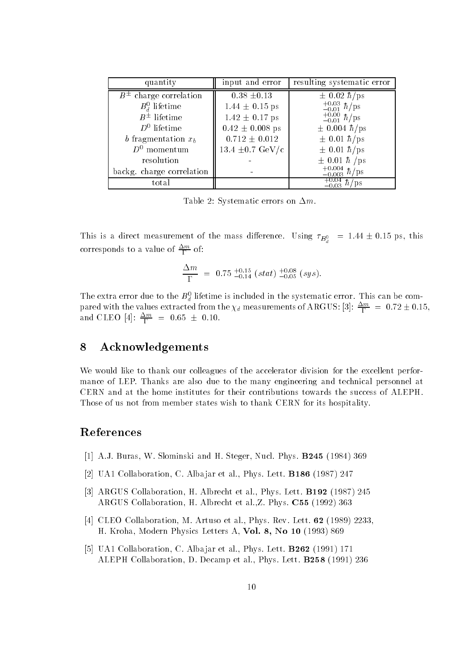| quantity                     | input and error              | resulting systematic error                                                                      |
|------------------------------|------------------------------|-------------------------------------------------------------------------------------------------|
| $B^{\pm}$ charge correlation | $0.38 \pm 0.13$              | $\pm$ 0.02 $\hbar$ /ps                                                                          |
| $B_d^0$ lifetime             | $1.44 \pm 0.15$ ps           |                                                                                                 |
| $B^{\pm}$ lifetime           | $1.42 \pm 0.17$ ps           | $\begin{array}{c} +0.03 \\[-4pt] -0.01 \\ +0.00 \\[-4pt] -0.01 \end{array} \hbar / \mathrm{ps}$ |
| $D^0$ lifetime               | $0.42 \pm 0.008$ ps          | $\pm$ 0.004 $\hbar$ /ps                                                                         |
| b fragmentation $x_b$        | $0.712 \pm 0.012$            | $\pm$ 0.01 $\hbar$ /ps                                                                          |
| $D^0$ momentum               | 13.4 $\pm 0.7 \text{ GeV/c}$ | $\pm$ 0.01 $\hbar$ /ps                                                                          |
| resolution                   |                              | $\pm$ 0.01 $\hbar$ /ps                                                                          |
| backg. charge correlation    |                              | $^{+0.004}_{-0.003}$ $\hbar/\mathrm{ps}$                                                        |
| total                        |                              | $^{+0.04}_{-0.03}$ $\hbar$ /ps                                                                  |

Table 2: Systematic errors on  $\Delta m$ .

This is a direct measurement of the mass difference. Using  $\tau_{B_d^0}$  = 1.44  $\pm$  0.15 ps, this corresponds to a value of  $\frac{m}{\Gamma}$  of:

$$
\frac{\Delta m}{\Gamma} \,\,=\,\, 0.75\,\, {}^{+0.15}_{-0.14}\,\, (stat)\,\, {}^{+0.08}_{-0.05}\,\, (sys).
$$

The extra error que to the  $B_d^-$  illetime is included in the systematic error. This can be compared with the values extracted from the  $\chi_d$  measurements of ARGUS: [3]:  $\frac{m}{\Gamma}$  = 0.72  $\pm$  0.15, and CLEO [4]:  $\frac{2m}{\Gamma}$  = 0.65  $\pm$  0.10.

#### 8 Acknowledgements

We would like to thank our colleagues of the accelerator division for the excellent performance of LEP. Thanks are also due to the many engineering and technical personnel at CERN and at the home institutes for their contributions towards the success of ALEPH. Those of us not from member states wish to thank CERN for its hospitality.

#### References

- [1] A.J. Buras, W. Slominski and H. Steger, Nucl. Phys. B245 (1984) 369
- [2] UA1 Collaboration, C. Alba jar et al., Phys. Lett. B186 (1987) 247
- [3] ARGUS Collaboration, H. Albrecht et al., Phys. Lett. B192 (1987) 245 ARGUS Collaboration, H. Albrecht et al.,Z. Phys. C55 (1992) 363
- [4] CLEO Collaboration, M. Artuso et al., Phys. Rev. Lett. **62** (1989) 2233, H. Kroha, Modern Physics Letters A, Vol. 8, No 10 (1993) 869
- [5] UA1 Collaboration, C. Alba jar et al., Phys. Lett. B262 (1991) 171 ALEPH Collaboration, D. Decamp et al., Phys. Lett. B258 (1991) 236